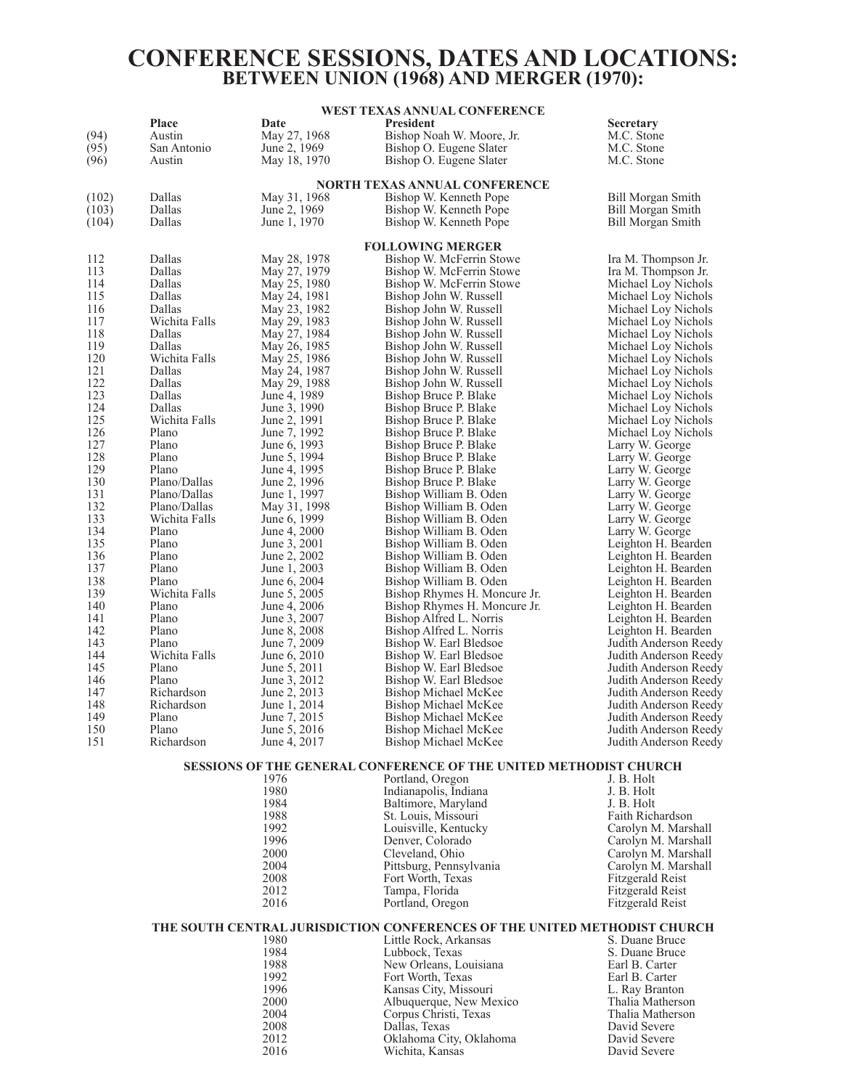## **CONFERENCE SESSIONS, DATES AND LOCATIONS: BETWEEN UNION (1968) AND MERGER (1970):**

#### **WEST TEXAS ANNUAL CONFERENCE**

|            | Place                   | Date                         | <b>President</b>                                                         | <b>Secretary</b>                   |
|------------|-------------------------|------------------------------|--------------------------------------------------------------------------|------------------------------------|
| (94)       | Austin                  | May 27, 1968                 | Bishop Noah W. Moore, Jr.                                                | M.C. Stone                         |
| (95)       | San Antonio             | June 2, 1969                 | Bishop O. Eugene Slater                                                  | M.C. Stone                         |
| (96)       | Austin                  | May 18, 1970                 | Bishop O. Eugene Slater                                                  | M.C. Stone                         |
|            |                         |                              | <b>NORTH TEXAS ANNUAL CONFERENCE</b>                                     |                                    |
| (102)      | Dallas                  | May 31, 1968                 | Bishop W. Kenneth Pope                                                   | <b>Bill Morgan Smith</b>           |
| (103)      | Dallas                  | June 2, 1969                 | Bishop W. Kenneth Pope                                                   | <b>Bill Morgan Smith</b>           |
| (104)      | Dallas                  | June 1, 1970                 | Bishop W. Kenneth Pope                                                   | Bill Morgan Smith                  |
|            |                         |                              |                                                                          |                                    |
|            |                         |                              | <b>FOLLOWING MERGER</b>                                                  |                                    |
| 112        | Dallas                  | May 28, 1978                 | Bishop W. McFerrin Stowe                                                 | Ira M. Thompson Jr.                |
| 113        | Dallas                  | May 27, 1979                 | Bishop W. McFerrin Stowe                                                 | Ira M. Thompson Jr.                |
| 114        | Dallas                  | May 25, 1980                 | Bishop W. McFerrin Stowe                                                 | Michael Loy Nichols                |
| 115        | Dallas                  | May 24, 1981                 | Bishop John W. Russell                                                   | Michael Loy Nichols                |
| 116        | Dallas                  | May 23, 1982                 | Bishop John W. Russell                                                   | Michael Loy Nichols                |
| 117        | Wichita Falls           | May 29, 1983                 | Bishop John W. Russell                                                   | Michael Loy Nichols                |
| 118        | Dallas                  | May 27, 1984                 | Bishop John W. Russell                                                   | Michael Loy Nichols                |
| 119        | Dallas                  | May 26, 1985                 | Bishop John W. Russell                                                   | Michael Loy Nichols                |
| 120        | Wichita Falls           | May 25, 1986                 | Bishop John W. Russell                                                   | Michael Loy Nichols                |
| 121        | Dallas                  | May 24, 1987                 | Bishop John W. Russell                                                   | Michael Loy Nichols                |
| 122        | Dallas                  | May 29, 1988                 | Bishop John W. Russell                                                   | Michael Loy Nichols                |
| 123        | Dallas                  | June 4, 1989                 | Bishop Bruce P. Blake                                                    | Michael Loy Nichols                |
| 124        | Dallas<br>Wichita Falls | June 3, 1990                 | Bishop Bruce P. Blake                                                    | Michael Loy Nichols                |
| 125        | Plano                   | June 2, 1991                 | Bishop Bruce P. Blake                                                    | Michael Loy Nichols                |
| 126<br>127 | Plano                   | June 7, 1992<br>June 6, 1993 | Bishop Bruce P. Blake<br>Bishop Bruce P. Blake                           | Michael Loy Nichols                |
| 128        | Plano                   | June 5, 1994                 | Bishop Bruce P. Blake                                                    | Larry W. George<br>Larry W. George |
| 129        | Plano                   | June 4, 1995                 | Bishop Bruce P. Blake                                                    | Larry W. George                    |
| 130        | Plano/Dallas            | June 2, 1996                 | Bishop Bruce P. Blake                                                    | Larry W. George                    |
| 131        | Plano/Dallas            | June 1, 1997                 | Bishop William B. Oden                                                   | Larry W. George                    |
| 132        | Plano/Dallas            | May 31, 1998                 | Bishop William B. Oden                                                   | Larry W. George                    |
| 133        | Wichita Falls           | June 6, 1999                 | Bishop William B. Oden                                                   | Larry W. George                    |
| 134        | Plano                   | June 4, 2000                 | Bishop William B. Oden                                                   | Larry W. George                    |
| 135        | Plano                   | June 3, 2001                 | Bishop William B. Oden                                                   | Leighton H. Bearden                |
| 136        | Plano                   | June 2, 2002                 | Bishop William B. Oden                                                   | Leighton H. Bearden                |
| 137        | Plano                   | June 1, 2003                 | Bishop William B. Oden                                                   | Leighton H. Bearden                |
| 138        | Plano                   | June 6, 2004                 | Bishop William B. Oden                                                   | Leighton H. Bearden                |
| 139        | Wichita Falls           | June 5, 2005                 | Bishop Rhymes H. Moncure Jr.                                             | Leighton H. Bearden                |
| 140        | Plano                   | June 4, 2006                 | Bishop Rhymes H. Moncure Jr.                                             | Leighton H. Bearden                |
| 141        | Plano                   | June 3, 2007                 | Bishop Alfred L. Norris                                                  | Leighton H. Bearden                |
| 142        | Plano                   | June 8, 2008                 | Bishop Alfred L. Norris                                                  | Leighton H. Bearden                |
| 143        | Plano                   | June 7, 2009                 | Bishop W. Earl Bledsoe                                                   | Judith Anderson Reedy              |
| 144        | Wichita Falls           | June 6, 2010                 | Bishop W. Earl Bledsoe                                                   | Judith Anderson Reedy              |
| 145        | Plano                   | June 5, 2011                 | Bishop W. Earl Bledsoe                                                   | Judith Anderson Reedy              |
| 146        | Plano                   | June 3, 2012                 | Bishop W. Earl Bledsoe                                                   | Judith Anderson Reedy              |
| 147        | Richardson              | June 2, 2013                 | Bishop Michael McKee                                                     | Judith Anderson Reedy              |
| 148        | Richardson              | June 1, 2014                 | Bishop Michael McKee                                                     | Judith Anderson Reedy              |
| 149        | Plano                   | June 7, 2015                 | Bishop Michael McKee                                                     | Judith Anderson Reedy              |
| 150        | Plano                   | June 5, 2016                 | <b>Bishop Michael McKee</b>                                              | Judith Anderson Reedy              |
| 151        | Richardson              | June 4, 2017                 | <b>Bishop Michael McKee</b>                                              | Judith Anderson Reedy              |
|            |                         |                              | <b>SESSIONS OF THE GENERAL CONFERENCE OF THE UNITED METHODIST CHURCH</b> |                                    |
|            |                         | 1976                         | Portland, Oregon                                                         | J. B. Holt                         |
|            |                         | 1980                         | Indianapolis, Indiana                                                    | J. B. Holt                         |
|            |                         | 1984                         | Baltimore, Maryland                                                      | J. B. Holt                         |
|            |                         | 1988                         | St. Louis, Missouri                                                      | Faith Richardson                   |
|            |                         | 1992                         | Louisville, Kentucky                                                     | Carolyn M. Marshall                |
|            |                         | 1996                         | Denver, Colorado                                                         | Carolyn M. Marshall                |
|            |                         | 2000                         | Cleveland, Ohio                                                          | Carolyn M. Marshall                |
|            |                         | 2004                         | Pittsburg, Pennsylvania                                                  | Carolyn M. Marshall                |
|            |                         | 2008                         | Fort Worth, Texas                                                        | <b>Fitzgerald Reist</b>            |

#### **THE SOUTH CENTRAL JURISDICTION CONFERENCES OF THE UNITED METHODIST CHURCH**

| 1980 | Little Rock, Arkansas   | S. Duane Bruce   |
|------|-------------------------|------------------|
| 1984 | Lubbock, Texas          | S. Duane Bruce   |
| 1988 | New Orleans, Louisiana  | Earl B. Carter   |
| 1992 | Fort Worth, Texas       | Earl B. Carter   |
| 1996 | Kansas City, Missouri   | L. Ray Branton   |
| 2000 | Albuquerque, New Mexico | Thalia Matherson |
| 2004 | Corpus Christi, Texas   | Thalia Matherson |
| 2008 | Dallas, Texas           | David Severe     |
| 2012 | Oklahoma City, Oklahoma | David Severe     |
| 2016 | Wichita, Kansas         | David Severe     |

2008 Fort Worth, Texas Fitzgerald Reist<br>2012 Tampa, Florida Fitzgerald Reist<br>2016 Fitzgerald Reist<br>2016 Fitzgerald Reist **Tampa, Florida** Fitzgerald Reist Portland, Oregon Fitzgerald Reist